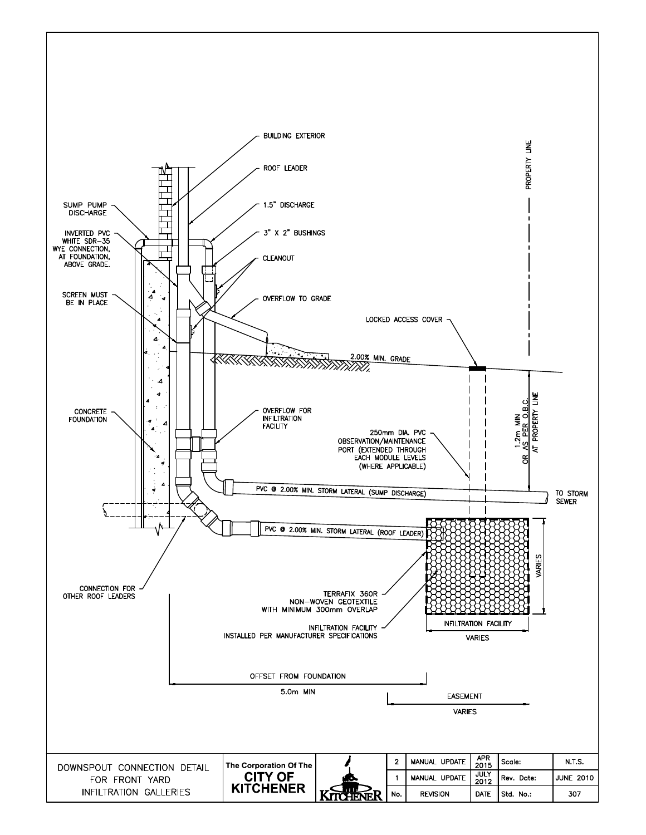